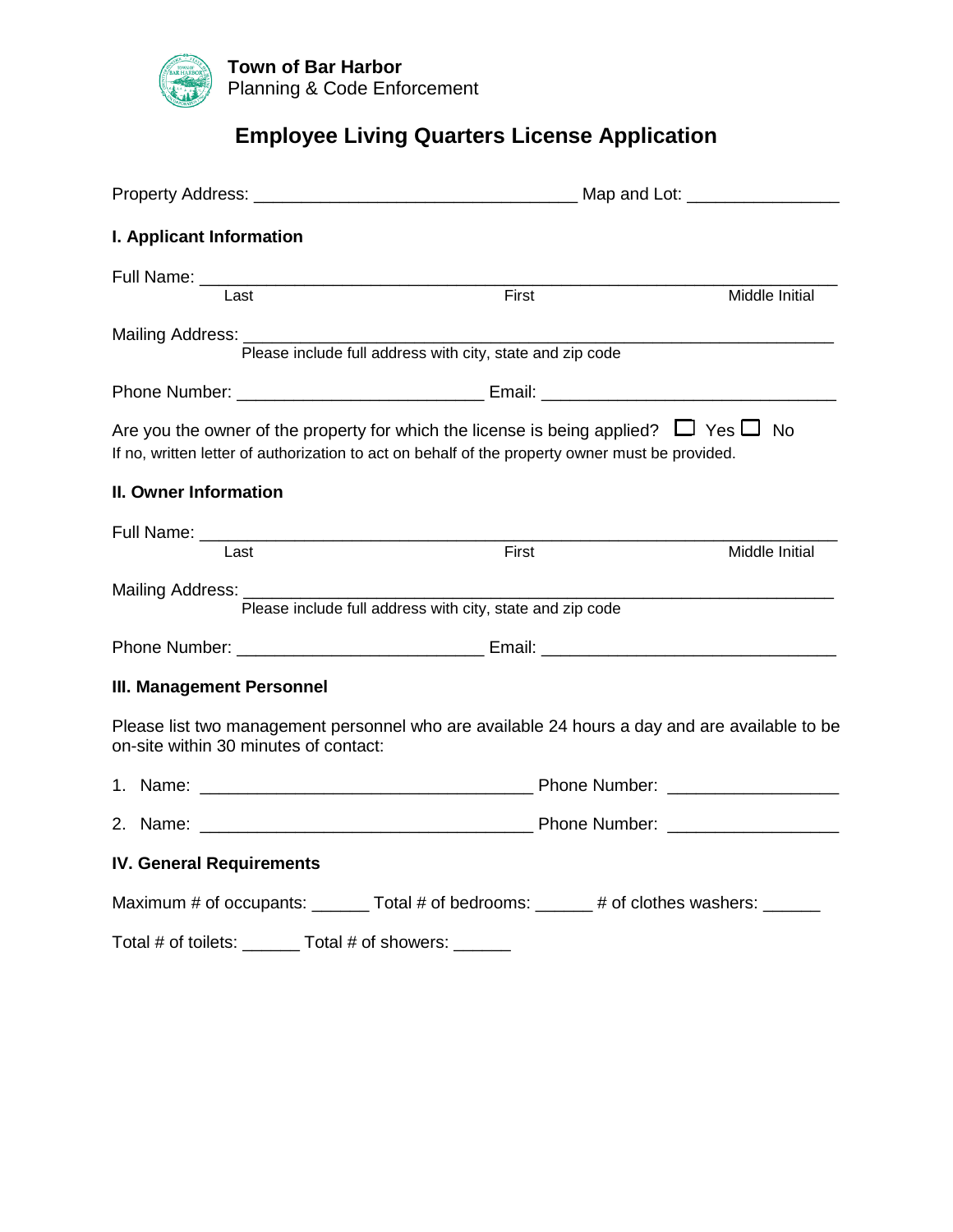

# **Employee Living Quarters License Application**

| <b>I. Applicant Information</b>                       |                                                                                                                                                                                                   |                |  |
|-------------------------------------------------------|---------------------------------------------------------------------------------------------------------------------------------------------------------------------------------------------------|----------------|--|
|                                                       |                                                                                                                                                                                                   |                |  |
| Last                                                  | First                                                                                                                                                                                             | Middle Initial |  |
|                                                       | Please include full address with city, state and zip code                                                                                                                                         |                |  |
|                                                       |                                                                                                                                                                                                   |                |  |
|                                                       | Are you the owner of the property for which the license is being applied? $\Box$ Yes $\Box$ No<br>If no, written letter of authorization to act on behalf of the property owner must be provided. |                |  |
| II. Owner Information                                 |                                                                                                                                                                                                   |                |  |
|                                                       |                                                                                                                                                                                                   |                |  |
| Last                                                  | First                                                                                                                                                                                             | Middle Initial |  |
| Mailing Address: _______                              | Please include full address with city, state and zip code                                                                                                                                         |                |  |
|                                                       |                                                                                                                                                                                                   |                |  |
| <b>III. Management Personnel</b>                      |                                                                                                                                                                                                   |                |  |
| on-site within 30 minutes of contact:                 | Please list two management personnel who are available 24 hours a day and are available to be                                                                                                     |                |  |
|                                                       |                                                                                                                                                                                                   |                |  |
|                                                       |                                                                                                                                                                                                   |                |  |
| <b>IV. General Requirements</b>                       |                                                                                                                                                                                                   |                |  |
|                                                       | Maximum # of occupants: _______ Total # of bedrooms: ______ # of clothes washers: ______                                                                                                          |                |  |
| Total # of toilets: _______ Total # of showers: _____ |                                                                                                                                                                                                   |                |  |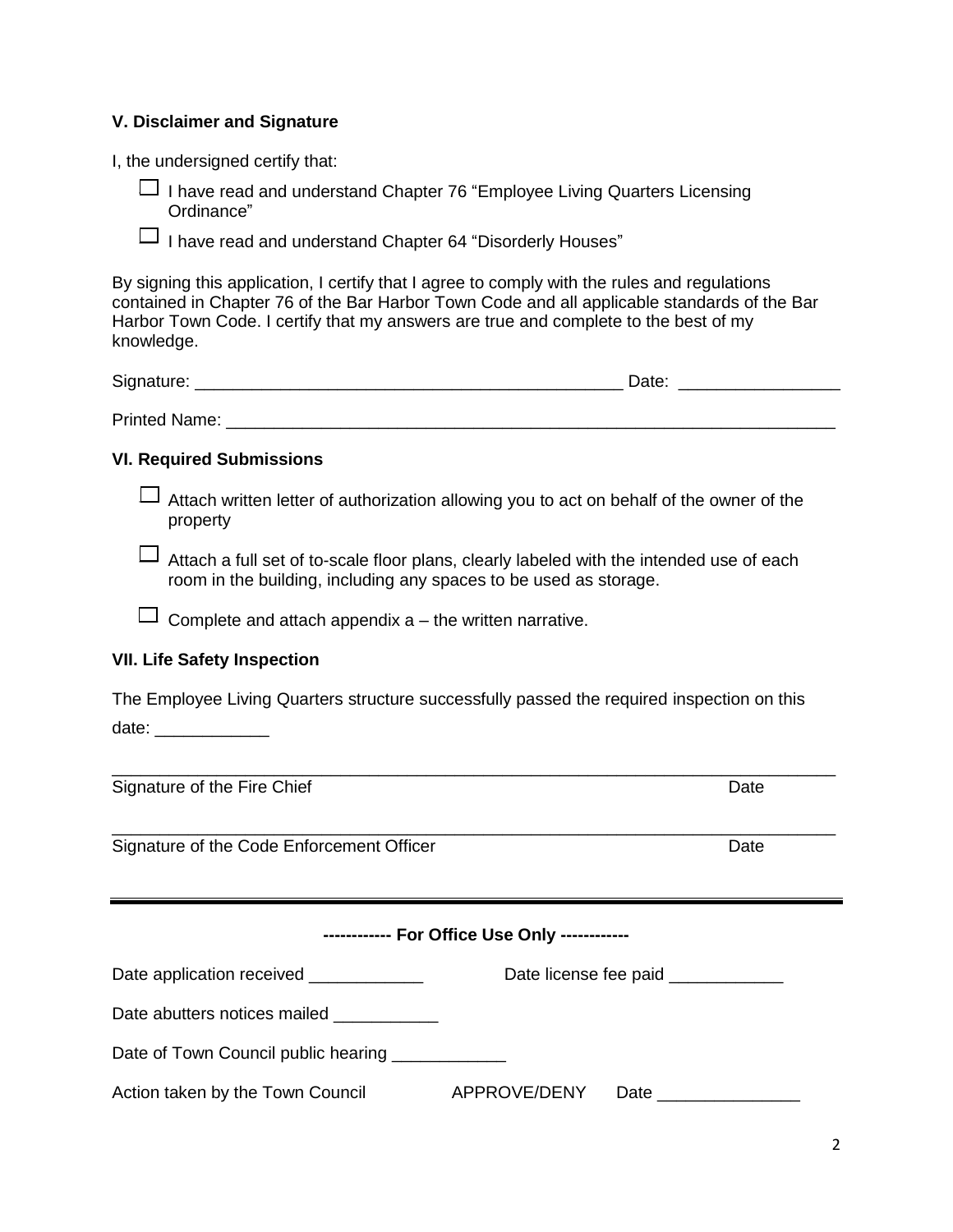### **V. Disclaimer and Signature**

I, the undersigned certify that:

⎯ I have read and understand Chapter 76 "Employee Living Quarters Licensing Ordinance"

 $\Box$  I have read and understand Chapter 64 "Disorderly Houses"

By signing this application, I certify that I agree to comply with the rules and regulations contained in Chapter 76 of the Bar Harbor Town Code and all applicable standards of the Bar Harbor Town Code. I certify that my answers are true and complete to the best of my knowledge.

| $\sim$<br>$\cdots$<br>)اد<br>-<br>_ _ _ _<br>_____ | $    -$ |  |
|----------------------------------------------------|---------|--|
|                                                    |         |  |

Printed Name: \_\_\_\_\_\_\_\_\_\_\_\_\_\_\_\_\_\_\_\_\_\_\_\_\_\_\_\_\_\_\_\_\_\_\_\_\_\_\_\_\_\_\_\_\_\_\_\_\_\_\_\_\_\_\_\_\_\_\_\_\_\_\_\_

#### **VI. Required Submissions**

 $\Box$  Attach written letter of authorization allowing you to act on behalf of the owner of the property

 $\Box$  Attach a full set of to-scale floor plans, clearly labeled with the intended use of each room in the building, including any spaces to be used as storage.

 $\Box$  Complete and attach appendix  $a$  – the written narrative.

#### **VII. Life Safety Inspection**

The Employee Living Quarters structure successfully passed the required inspection on this date: \_\_\_\_\_\_\_\_\_\_\_\_\_

\_\_\_\_\_\_\_\_\_\_\_\_\_\_\_\_\_\_\_\_\_\_\_\_\_\_\_\_\_\_\_\_\_\_\_\_\_\_\_\_\_\_\_\_\_\_\_\_\_\_\_\_\_\_\_\_\_\_\_\_\_\_\_\_\_\_\_\_\_\_\_\_\_\_\_\_

\_\_\_\_\_\_\_\_\_\_\_\_\_\_\_\_\_\_\_\_\_\_\_\_\_\_\_\_\_\_\_\_\_\_\_\_\_\_\_\_\_\_\_\_\_\_\_\_\_\_\_\_\_\_\_\_\_\_\_\_\_\_\_\_\_\_\_\_\_\_\_\_\_\_\_\_

Signature of the Fire Chief **Date** Date Date Date

Signature of the Code Enforcement Officer **Date** Date

| ------------ For Office Use Only ------------      |                                       |  |  |  |  |
|----------------------------------------------------|---------------------------------------|--|--|--|--|
| Date application received _____________            | Date license fee paid ____________    |  |  |  |  |
| Date abutters notices mailed                       |                                       |  |  |  |  |
| Date of Town Council public hearing ______________ |                                       |  |  |  |  |
| Action taken by the Town Council                   | APPROVE/DENY<br>Date <u>_________</u> |  |  |  |  |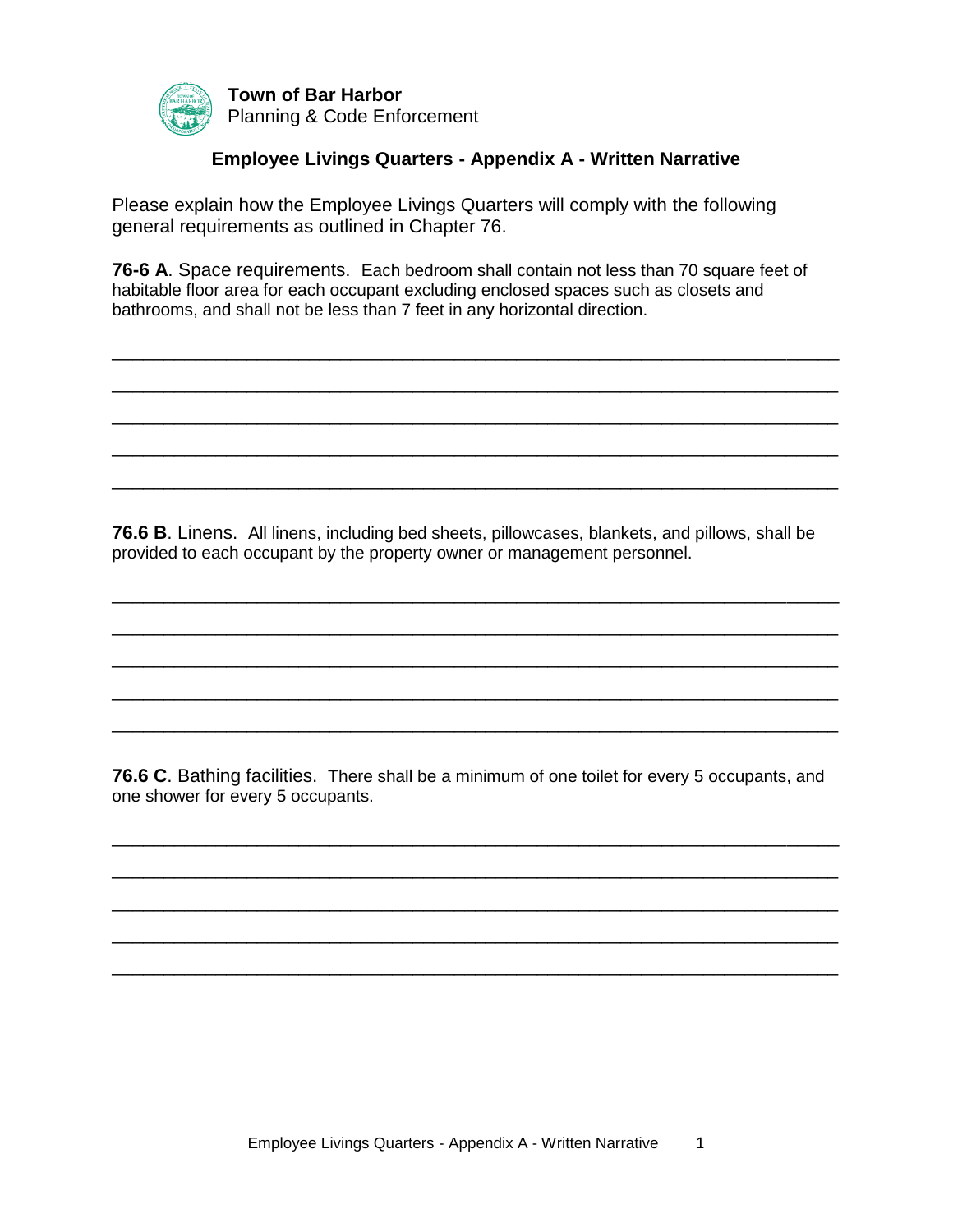

**Town of Bar Harbor** Planning & Code Enforcement

## **Employee Livings Quarters - Appendix A - Written Narrative**

Please explain how the Employee Livings Quarters will comply with the following general requirements as outlined in Chapter 76.

**76-6 A**. Space requirements. Each bedroom shall contain not less than 70 square feet of habitable floor area for each occupant excluding enclosed spaces such as closets and bathrooms, and shall not be less than 7 feet in any horizontal direction.

\_\_\_\_\_\_\_\_\_\_\_\_\_\_\_\_\_\_\_\_\_\_\_\_\_\_\_\_\_\_\_\_\_\_\_\_\_\_\_\_\_\_\_\_\_\_\_\_\_\_\_\_\_\_\_\_\_\_\_\_\_\_\_\_\_\_\_\_\_\_

\_\_\_\_\_\_\_\_\_\_\_\_\_\_\_\_\_\_\_\_\_\_\_\_\_\_\_\_\_\_\_\_\_\_\_\_\_\_\_\_\_\_\_\_\_\_\_\_\_\_\_\_\_\_\_\_\_\_\_\_\_\_\_\_\_\_\_\_\_\_

\_\_\_\_\_\_\_\_\_\_\_\_\_\_\_\_\_\_\_\_\_\_\_\_\_\_\_\_\_\_\_\_\_\_\_\_\_\_\_\_\_\_\_\_\_\_\_\_\_\_\_\_\_\_\_\_\_\_\_\_\_\_\_\_\_\_\_\_\_\_

\_\_\_\_\_\_\_\_\_\_\_\_\_\_\_\_\_\_\_\_\_\_\_\_\_\_\_\_\_\_\_\_\_\_\_\_\_\_\_\_\_\_\_\_\_\_\_\_\_\_\_\_\_\_\_\_\_\_\_\_\_\_\_\_\_\_\_\_\_\_

\_\_\_\_\_\_\_\_\_\_\_\_\_\_\_\_\_\_\_\_\_\_\_\_\_\_\_\_\_\_\_\_\_\_\_\_\_\_\_\_\_\_\_\_\_\_\_\_\_\_\_\_\_\_\_\_\_\_\_\_\_\_\_\_\_\_\_\_\_\_

**76.6 B**. Linens. All linens, including bed sheets, pillowcases, blankets, and pillows, shall be provided to each occupant by the property owner or management personnel.

\_\_\_\_\_\_\_\_\_\_\_\_\_\_\_\_\_\_\_\_\_\_\_\_\_\_\_\_\_\_\_\_\_\_\_\_\_\_\_\_\_\_\_\_\_\_\_\_\_\_\_\_\_\_\_\_\_\_\_\_\_\_\_\_\_\_\_\_\_\_

\_\_\_\_\_\_\_\_\_\_\_\_\_\_\_\_\_\_\_\_\_\_\_\_\_\_\_\_\_\_\_\_\_\_\_\_\_\_\_\_\_\_\_\_\_\_\_\_\_\_\_\_\_\_\_\_\_\_\_\_\_\_\_\_\_\_\_\_\_\_

\_\_\_\_\_\_\_\_\_\_\_\_\_\_\_\_\_\_\_\_\_\_\_\_\_\_\_\_\_\_\_\_\_\_\_\_\_\_\_\_\_\_\_\_\_\_\_\_\_\_\_\_\_\_\_\_\_\_\_\_\_\_\_\_\_\_\_\_\_\_

\_\_\_\_\_\_\_\_\_\_\_\_\_\_\_\_\_\_\_\_\_\_\_\_\_\_\_\_\_\_\_\_\_\_\_\_\_\_\_\_\_\_\_\_\_\_\_\_\_\_\_\_\_\_\_\_\_\_\_\_\_\_\_\_\_\_\_\_\_\_

\_\_\_\_\_\_\_\_\_\_\_\_\_\_\_\_\_\_\_\_\_\_\_\_\_\_\_\_\_\_\_\_\_\_\_\_\_\_\_\_\_\_\_\_\_\_\_\_\_\_\_\_\_\_\_\_\_\_\_\_\_\_\_\_\_\_\_\_\_\_

**76.6 C**. Bathing facilities. There shall be a minimum of one toilet for every 5 occupants, and one shower for every 5 occupants.

\_\_\_\_\_\_\_\_\_\_\_\_\_\_\_\_\_\_\_\_\_\_\_\_\_\_\_\_\_\_\_\_\_\_\_\_\_\_\_\_\_\_\_\_\_\_\_\_\_\_\_\_\_\_\_\_\_\_\_\_\_\_\_\_\_\_\_\_\_\_

\_\_\_\_\_\_\_\_\_\_\_\_\_\_\_\_\_\_\_\_\_\_\_\_\_\_\_\_\_\_\_\_\_\_\_\_\_\_\_\_\_\_\_\_\_\_\_\_\_\_\_\_\_\_\_\_\_\_\_\_\_\_\_\_\_\_\_\_\_\_

\_\_\_\_\_\_\_\_\_\_\_\_\_\_\_\_\_\_\_\_\_\_\_\_\_\_\_\_\_\_\_\_\_\_\_\_\_\_\_\_\_\_\_\_\_\_\_\_\_\_\_\_\_\_\_\_\_\_\_\_\_\_\_\_\_\_\_\_\_\_

\_\_\_\_\_\_\_\_\_\_\_\_\_\_\_\_\_\_\_\_\_\_\_\_\_\_\_\_\_\_\_\_\_\_\_\_\_\_\_\_\_\_\_\_\_\_\_\_\_\_\_\_\_\_\_\_\_\_\_\_\_\_\_\_\_\_\_\_\_\_

\_\_\_\_\_\_\_\_\_\_\_\_\_\_\_\_\_\_\_\_\_\_\_\_\_\_\_\_\_\_\_\_\_\_\_\_\_\_\_\_\_\_\_\_\_\_\_\_\_\_\_\_\_\_\_\_\_\_\_\_\_\_\_\_\_\_\_\_\_\_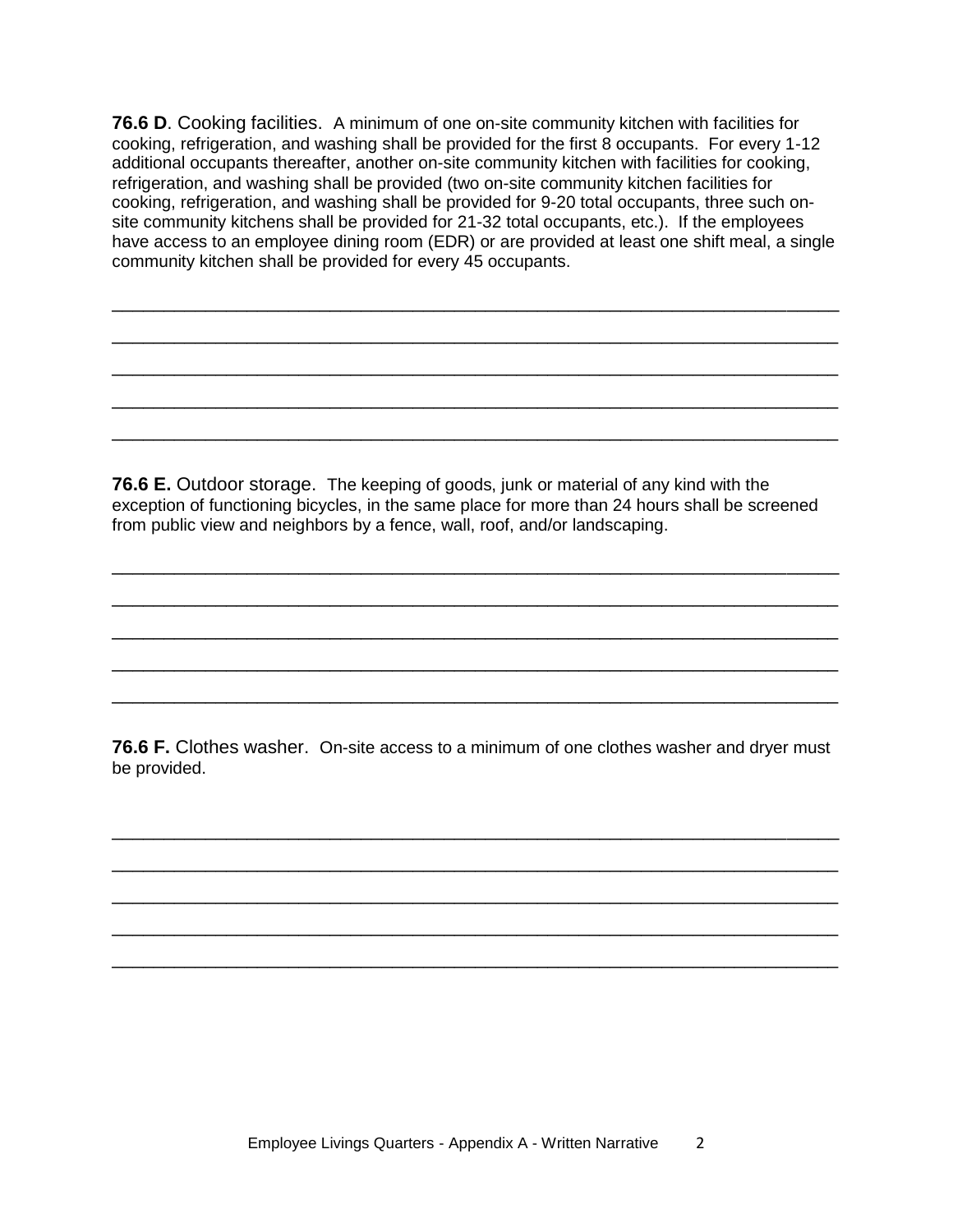**76.6 D**. Cooking facilities. A minimum of one on-site community kitchen with facilities for cooking, refrigeration, and washing shall be provided for the first 8 occupants. For every 1-12 additional occupants thereafter, another on-site community kitchen with facilities for cooking, refrigeration, and washing shall be provided (two on-site community kitchen facilities for cooking, refrigeration, and washing shall be provided for 9-20 total occupants, three such onsite community kitchens shall be provided for 21-32 total occupants, etc.). If the employees have access to an employee dining room (EDR) or are provided at least one shift meal, a single community kitchen shall be provided for every 45 occupants.

\_\_\_\_\_\_\_\_\_\_\_\_\_\_\_\_\_\_\_\_\_\_\_\_\_\_\_\_\_\_\_\_\_\_\_\_\_\_\_\_\_\_\_\_\_\_\_\_\_\_\_\_\_\_\_\_\_\_\_\_\_\_\_\_\_\_\_\_\_\_

\_\_\_\_\_\_\_\_\_\_\_\_\_\_\_\_\_\_\_\_\_\_\_\_\_\_\_\_\_\_\_\_\_\_\_\_\_\_\_\_\_\_\_\_\_\_\_\_\_\_\_\_\_\_\_\_\_\_\_\_\_\_\_\_\_\_\_\_\_\_

\_\_\_\_\_\_\_\_\_\_\_\_\_\_\_\_\_\_\_\_\_\_\_\_\_\_\_\_\_\_\_\_\_\_\_\_\_\_\_\_\_\_\_\_\_\_\_\_\_\_\_\_\_\_\_\_\_\_\_\_\_\_\_\_\_\_\_\_\_\_

\_\_\_\_\_\_\_\_\_\_\_\_\_\_\_\_\_\_\_\_\_\_\_\_\_\_\_\_\_\_\_\_\_\_\_\_\_\_\_\_\_\_\_\_\_\_\_\_\_\_\_\_\_\_\_\_\_\_\_\_\_\_\_\_\_\_\_\_\_\_

\_\_\_\_\_\_\_\_\_\_\_\_\_\_\_\_\_\_\_\_\_\_\_\_\_\_\_\_\_\_\_\_\_\_\_\_\_\_\_\_\_\_\_\_\_\_\_\_\_\_\_\_\_\_\_\_\_\_\_\_\_\_\_\_\_\_\_\_\_\_

**76.6 E.** Outdoor storage. The keeping of goods, junk or material of any kind with the exception of functioning bicycles, in the same place for more than 24 hours shall be screened from public view and neighbors by a fence, wall, roof, and/or landscaping.

\_\_\_\_\_\_\_\_\_\_\_\_\_\_\_\_\_\_\_\_\_\_\_\_\_\_\_\_\_\_\_\_\_\_\_\_\_\_\_\_\_\_\_\_\_\_\_\_\_\_\_\_\_\_\_\_\_\_\_\_\_\_\_\_\_\_\_\_\_\_

\_\_\_\_\_\_\_\_\_\_\_\_\_\_\_\_\_\_\_\_\_\_\_\_\_\_\_\_\_\_\_\_\_\_\_\_\_\_\_\_\_\_\_\_\_\_\_\_\_\_\_\_\_\_\_\_\_\_\_\_\_\_\_\_\_\_\_\_\_\_

\_\_\_\_\_\_\_\_\_\_\_\_\_\_\_\_\_\_\_\_\_\_\_\_\_\_\_\_\_\_\_\_\_\_\_\_\_\_\_\_\_\_\_\_\_\_\_\_\_\_\_\_\_\_\_\_\_\_\_\_\_\_\_\_\_\_\_\_\_\_

\_\_\_\_\_\_\_\_\_\_\_\_\_\_\_\_\_\_\_\_\_\_\_\_\_\_\_\_\_\_\_\_\_\_\_\_\_\_\_\_\_\_\_\_\_\_\_\_\_\_\_\_\_\_\_\_\_\_\_\_\_\_\_\_\_\_\_\_\_\_

\_\_\_\_\_\_\_\_\_\_\_\_\_\_\_\_\_\_\_\_\_\_\_\_\_\_\_\_\_\_\_\_\_\_\_\_\_\_\_\_\_\_\_\_\_\_\_\_\_\_\_\_\_\_\_\_\_\_\_\_\_\_\_\_\_\_\_\_\_\_

**76.6 F.** Clothes washer. On-site access to a minimum of one clothes washer and dryer must be provided.

\_\_\_\_\_\_\_\_\_\_\_\_\_\_\_\_\_\_\_\_\_\_\_\_\_\_\_\_\_\_\_\_\_\_\_\_\_\_\_\_\_\_\_\_\_\_\_\_\_\_\_\_\_\_\_\_\_\_\_\_\_\_\_\_\_\_\_\_\_\_

\_\_\_\_\_\_\_\_\_\_\_\_\_\_\_\_\_\_\_\_\_\_\_\_\_\_\_\_\_\_\_\_\_\_\_\_\_\_\_\_\_\_\_\_\_\_\_\_\_\_\_\_\_\_\_\_\_\_\_\_\_\_\_\_\_\_\_\_\_\_

\_\_\_\_\_\_\_\_\_\_\_\_\_\_\_\_\_\_\_\_\_\_\_\_\_\_\_\_\_\_\_\_\_\_\_\_\_\_\_\_\_\_\_\_\_\_\_\_\_\_\_\_\_\_\_\_\_\_\_\_\_\_\_\_\_\_\_\_\_\_

\_\_\_\_\_\_\_\_\_\_\_\_\_\_\_\_\_\_\_\_\_\_\_\_\_\_\_\_\_\_\_\_\_\_\_\_\_\_\_\_\_\_\_\_\_\_\_\_\_\_\_\_\_\_\_\_\_\_\_\_\_\_\_\_\_\_\_\_\_\_

\_\_\_\_\_\_\_\_\_\_\_\_\_\_\_\_\_\_\_\_\_\_\_\_\_\_\_\_\_\_\_\_\_\_\_\_\_\_\_\_\_\_\_\_\_\_\_\_\_\_\_\_\_\_\_\_\_\_\_\_\_\_\_\_\_\_\_\_\_\_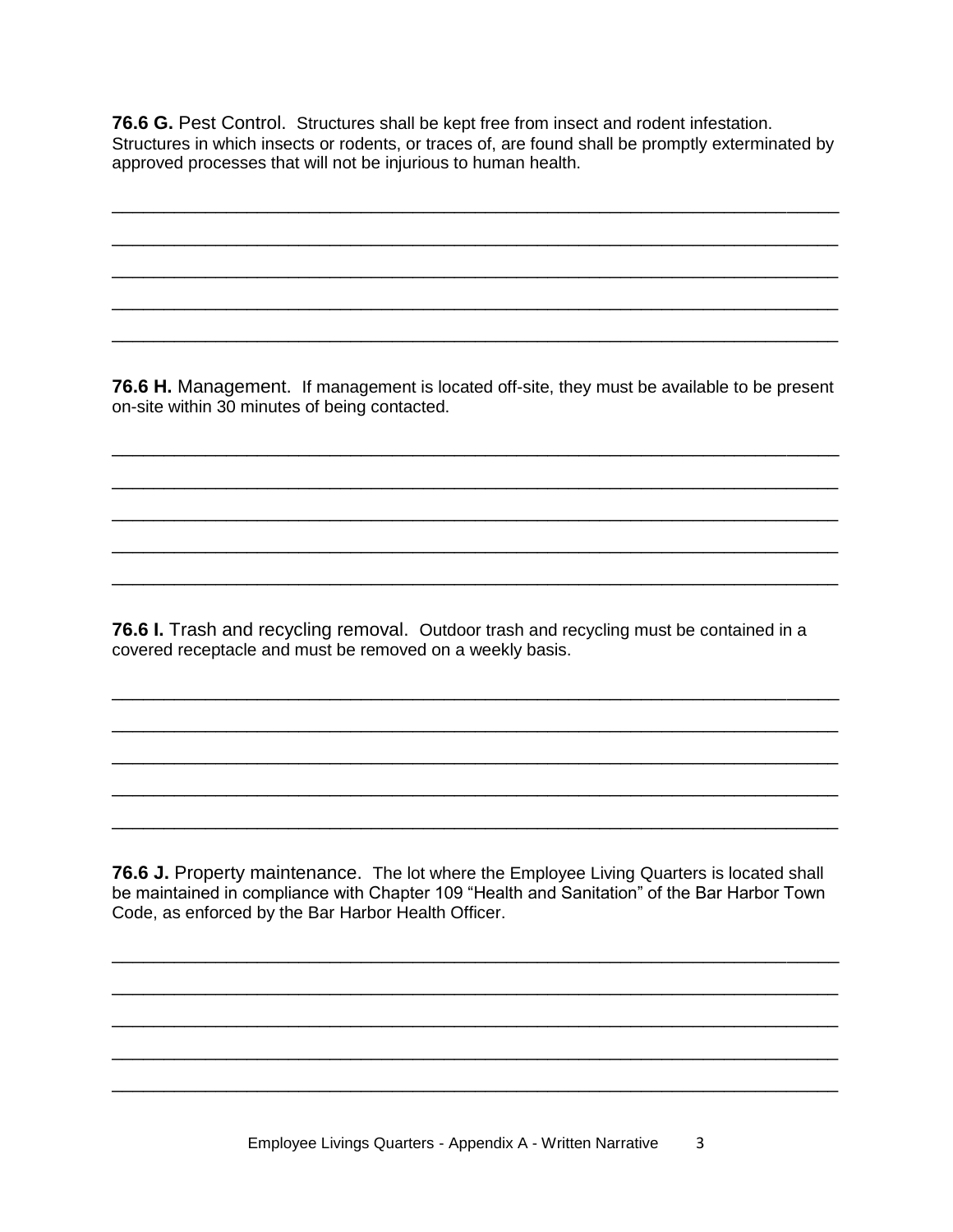**76.6 G.** Pest Control. Structures shall be kept free from insect and rodent infestation. Structures in which insects or rodents, or traces of, are found shall be promptly exterminated by approved processes that will not be injurious to human health.

\_\_\_\_\_\_\_\_\_\_\_\_\_\_\_\_\_\_\_\_\_\_\_\_\_\_\_\_\_\_\_\_\_\_\_\_\_\_\_\_\_\_\_\_\_\_\_\_\_\_\_\_\_\_\_\_\_\_\_\_\_\_\_\_\_\_\_\_\_\_

\_\_\_\_\_\_\_\_\_\_\_\_\_\_\_\_\_\_\_\_\_\_\_\_\_\_\_\_\_\_\_\_\_\_\_\_\_\_\_\_\_\_\_\_\_\_\_\_\_\_\_\_\_\_\_\_\_\_\_\_\_\_\_\_\_\_\_\_\_\_

\_\_\_\_\_\_\_\_\_\_\_\_\_\_\_\_\_\_\_\_\_\_\_\_\_\_\_\_\_\_\_\_\_\_\_\_\_\_\_\_\_\_\_\_\_\_\_\_\_\_\_\_\_\_\_\_\_\_\_\_\_\_\_\_\_\_\_\_\_\_

\_\_\_\_\_\_\_\_\_\_\_\_\_\_\_\_\_\_\_\_\_\_\_\_\_\_\_\_\_\_\_\_\_\_\_\_\_\_\_\_\_\_\_\_\_\_\_\_\_\_\_\_\_\_\_\_\_\_\_\_\_\_\_\_\_\_\_\_\_\_

\_\_\_\_\_\_\_\_\_\_\_\_\_\_\_\_\_\_\_\_\_\_\_\_\_\_\_\_\_\_\_\_\_\_\_\_\_\_\_\_\_\_\_\_\_\_\_\_\_\_\_\_\_\_\_\_\_\_\_\_\_\_\_\_\_\_\_\_\_\_

**76.6 H.** Management. If management is located off-site, they must be available to be present on-site within 30 minutes of being contacted.

\_\_\_\_\_\_\_\_\_\_\_\_\_\_\_\_\_\_\_\_\_\_\_\_\_\_\_\_\_\_\_\_\_\_\_\_\_\_\_\_\_\_\_\_\_\_\_\_\_\_\_\_\_\_\_\_\_\_\_\_\_\_\_\_\_\_\_\_\_\_

\_\_\_\_\_\_\_\_\_\_\_\_\_\_\_\_\_\_\_\_\_\_\_\_\_\_\_\_\_\_\_\_\_\_\_\_\_\_\_\_\_\_\_\_\_\_\_\_\_\_\_\_\_\_\_\_\_\_\_\_\_\_\_\_\_\_\_\_\_\_

\_\_\_\_\_\_\_\_\_\_\_\_\_\_\_\_\_\_\_\_\_\_\_\_\_\_\_\_\_\_\_\_\_\_\_\_\_\_\_\_\_\_\_\_\_\_\_\_\_\_\_\_\_\_\_\_\_\_\_\_\_\_\_\_\_\_\_\_\_\_

\_\_\_\_\_\_\_\_\_\_\_\_\_\_\_\_\_\_\_\_\_\_\_\_\_\_\_\_\_\_\_\_\_\_\_\_\_\_\_\_\_\_\_\_\_\_\_\_\_\_\_\_\_\_\_\_\_\_\_\_\_\_\_\_\_\_\_\_\_\_

\_\_\_\_\_\_\_\_\_\_\_\_\_\_\_\_\_\_\_\_\_\_\_\_\_\_\_\_\_\_\_\_\_\_\_\_\_\_\_\_\_\_\_\_\_\_\_\_\_\_\_\_\_\_\_\_\_\_\_\_\_\_\_\_\_\_\_\_\_\_

\_\_\_\_\_\_\_\_\_\_\_\_\_\_\_\_\_\_\_\_\_\_\_\_\_\_\_\_\_\_\_\_\_\_\_\_\_\_\_\_\_\_\_\_\_\_\_\_\_\_\_\_\_\_\_\_\_\_\_\_\_\_\_\_\_\_\_\_\_\_

\_\_\_\_\_\_\_\_\_\_\_\_\_\_\_\_\_\_\_\_\_\_\_\_\_\_\_\_\_\_\_\_\_\_\_\_\_\_\_\_\_\_\_\_\_\_\_\_\_\_\_\_\_\_\_\_\_\_\_\_\_\_\_\_\_\_\_\_\_\_

\_\_\_\_\_\_\_\_\_\_\_\_\_\_\_\_\_\_\_\_\_\_\_\_\_\_\_\_\_\_\_\_\_\_\_\_\_\_\_\_\_\_\_\_\_\_\_\_\_\_\_\_\_\_\_\_\_\_\_\_\_\_\_\_\_\_\_\_\_\_

\_\_\_\_\_\_\_\_\_\_\_\_\_\_\_\_\_\_\_\_\_\_\_\_\_\_\_\_\_\_\_\_\_\_\_\_\_\_\_\_\_\_\_\_\_\_\_\_\_\_\_\_\_\_\_\_\_\_\_\_\_\_\_\_\_\_\_\_\_\_

\_\_\_\_\_\_\_\_\_\_\_\_\_\_\_\_\_\_\_\_\_\_\_\_\_\_\_\_\_\_\_\_\_\_\_\_\_\_\_\_\_\_\_\_\_\_\_\_\_\_\_\_\_\_\_\_\_\_\_\_\_\_\_\_\_\_\_\_\_\_

**76.6 I.** Trash and recycling removal. Outdoor trash and recycling must be contained in a covered receptacle and must be removed on a weekly basis.

**76.6 J.** Property maintenance. The lot where the Employee Living Quarters is located shall be maintained in compliance with Chapter 109 "Health and Sanitation" of the Bar Harbor Town Code, as enforced by the Bar Harbor Health Officer.

\_\_\_\_\_\_\_\_\_\_\_\_\_\_\_\_\_\_\_\_\_\_\_\_\_\_\_\_\_\_\_\_\_\_\_\_\_\_\_\_\_\_\_\_\_\_\_\_\_\_\_\_\_\_\_\_\_\_\_\_\_\_\_\_\_\_\_\_\_\_

\_\_\_\_\_\_\_\_\_\_\_\_\_\_\_\_\_\_\_\_\_\_\_\_\_\_\_\_\_\_\_\_\_\_\_\_\_\_\_\_\_\_\_\_\_\_\_\_\_\_\_\_\_\_\_\_\_\_\_\_\_\_\_\_\_\_\_\_\_\_

\_\_\_\_\_\_\_\_\_\_\_\_\_\_\_\_\_\_\_\_\_\_\_\_\_\_\_\_\_\_\_\_\_\_\_\_\_\_\_\_\_\_\_\_\_\_\_\_\_\_\_\_\_\_\_\_\_\_\_\_\_\_\_\_\_\_\_\_\_\_

\_\_\_\_\_\_\_\_\_\_\_\_\_\_\_\_\_\_\_\_\_\_\_\_\_\_\_\_\_\_\_\_\_\_\_\_\_\_\_\_\_\_\_\_\_\_\_\_\_\_\_\_\_\_\_\_\_\_\_\_\_\_\_\_\_\_\_\_\_\_

\_\_\_\_\_\_\_\_\_\_\_\_\_\_\_\_\_\_\_\_\_\_\_\_\_\_\_\_\_\_\_\_\_\_\_\_\_\_\_\_\_\_\_\_\_\_\_\_\_\_\_\_\_\_\_\_\_\_\_\_\_\_\_\_\_\_\_\_\_\_